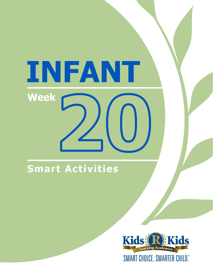# INFANT **Week**

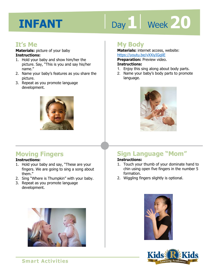# Day 1 | Week 20

#### **It's Me**

**Materials:** picture of your baby **Instructions:** 

- 1. Hold your baby and show him/her the picture. Say, "This is you and say his/her name."
- 2. Name your baby's features as you share the picture.
- 3. Repeat as you promote language development.



#### **Moving Fingers**

#### **Instructions:**

- 1. Hold your baby and say, "These are your fingers. We are going to sing a song about them."
- 2. Sing "Where is Thumpkin" with your baby.
- 3. Repeat as you promote language development.



#### **My Body**

**Materials:** internet access, website: https://youtu.be/vXXiyIGqliE

**Preparation:** Preview video.

#### **Instructions:**

- **Intps.//youtu.be/vxxiyiddille**<br>**Preparation:** Preview video.<br>**Instructions:**<br>1. Enjoy this sing along about body parts.
- 2. Name your baby's body parts to promote language.



## **Sign Language "Mom"**

#### **Instructions:**

- 1. Touch your thumb of your dominate hand to chin using open five fingers in the number 5 formation.
- 2. Wiggling fingers slightly is optional.



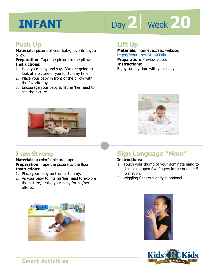# Day 2 | Week 20

#### **Push Up**

**Materials:** picture of your baby, favorite toy, a pillow

**Preparation:** Tape the picture to the pillow. **Instructions:** 

- 1. Hold your baby and say, "We are going to look at a picture of you for tummy time."
- 2. Place your baby in front of the pillow with the favorite toy.
- 3. Encourage your baby to lift his/her head to see the picture.



#### **I am Strong**

**Materials:** a colorful picture, tape **Preparation:** Tape the picture to the floor. **Instructions:** 

- 1. Place your baby on his/her tummy.
- 2. As your baby to lifts his/her head to explore the picture, praise your baby for his/her efforts.



#### **Lift Up**

**Materials:** internet access, website: https://youtu.be/jGHjojXPal0 **Preparation:** Preview video. **Instructions:**  Enjoy tummy time with your baby.



## **Sign Language "Mom"**

#### **Instructions:**

- 1. Touch your thumb of your dominate hand to chin using open five fingers in the number 5 formation.
- 2. Wiggling fingers slightly is optional.



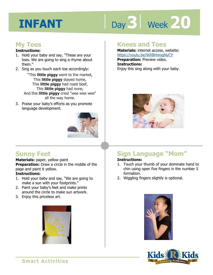# Day 3 | Week 20

#### **My Toes**

#### **Instructions:**

- 1. Hold your baby and say, "These are your toes. We are going to sing a rhyme about them."
- 2. Sing as you touch each toe accordingly:

"This **little piggy** went to the market, This **little piggy** stayed home, This **little piggy** had roast beef, This **little piggy** had none, And this **little piggy** cried "wee wee wee" all the way home.

3. Praise your baby's efforts as you promote language development.



#### **Knees and Toes**

**Materials:** internet access, website: https://youtu.be/WX8HmogNyCY **Preparation:** Preview video. **Instructions:**  Enjoy this sing along with your baby.

#### **Sunny Feet**

#### **Materials:** paper, yellow paint

**Preparation:** Draw a circle in the middle of the page and paint it yellow.

#### **Instructions:**

- 1. Hold your baby and say, "We are going to make a sun with your footprints."
- 2. Paint your baby's feet and make prints around the circle to make sun artwork.
- 3. Enjoy this priceless art.



## **Sign Language "Mom"**

#### **Instructions:**

- 1. Touch your thumb of your dominate hand to chin using open five fingers in the number 5 formation.
- 2. Wiggling fingers slightly is optional.



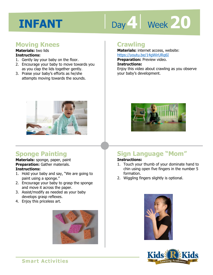## Day 4 Week 20

#### **Moving Knees**

#### **Materials:** two lids **Instructions:**

- 1. Gently lay your baby on the floor.
- 2. Encourage your baby to move towards you as you clap the lids together gently.
- 3. Praise your baby's efforts as he/she attempts moving towards the sounds.



**Materials:** internet access, website: https://youtu.be/14gWirURq6I

**Preparation:** Preview video.

**Instructions:** 

Enjoy this video about crawling as you observe your baby's development.



#### **Sponge Painting**

**Materials:** sponge, paper, paint **Preparation:** Gather materials. **Instructions:** 

- 1. Hold your baby and say, "We are going to paint using a sponge."
- 2. Encourage your baby to grasp the sponge and move it across the paper.
- 3. Assist/modify as needed as your baby develops grasp reflexes.
- 4. Enjoy this priceless art.





## **Sign Language "Mom"**

#### **Instructions:**

- 1. Touch your thumb of your dominate hand to chin using open five fingers in the number 5 formation.
- 2. Wiggling fingers slightly is optional.